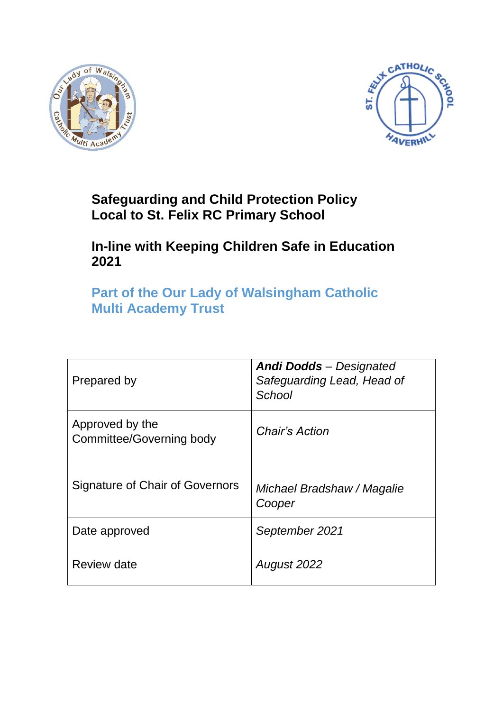



# **Safeguarding and Child Protection Policy Local to St. Felix RC Primary School**

# **In-line with Keeping Children Safe in Education 2021**

# **Part of the Our Lady of Walsingham Catholic Multi Academy Trust**

| Prepared by                                 | <b>Andi Dodds</b> – Designated<br>Safeguarding Lead, Head of<br>School |
|---------------------------------------------|------------------------------------------------------------------------|
| Approved by the<br>Committee/Governing body | Chair's Action                                                         |
| Signature of Chair of Governors             | Michael Bradshaw / Magalie<br>Cooper                                   |
| Date approved                               | September 2021                                                         |
| Review date                                 | August 2022                                                            |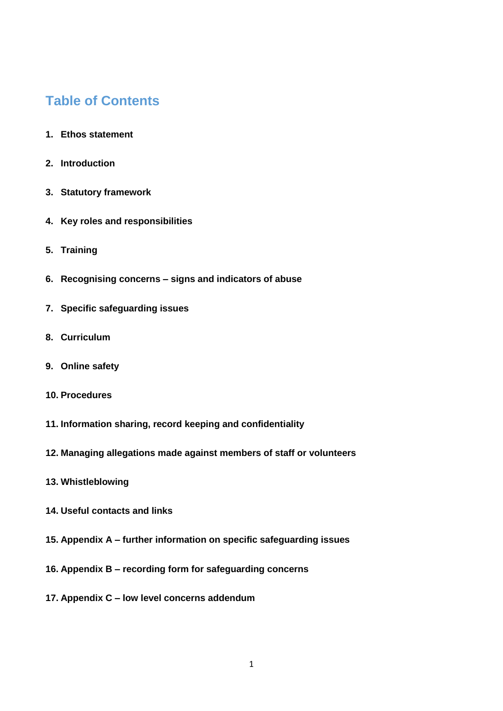# **Table of Contents**

- **1. Ethos statement**
- **2. Introduction**
- **3. Statutory framework**
- **4. Key roles and responsibilities**
- **5. Training**
- **6. Recognising concerns – signs and indicators of abuse**
- **7. Specific safeguarding issues**
- **8. Curriculum**
- **9. Online safety**
- **10. Procedures**
- **11. Information sharing, record keeping and confidentiality**
- **12. Managing allegations made against members of staff or volunteers**
- **13. Whistleblowing**
- **14. Useful contacts and links**
- **15. Appendix A – further information on specific safeguarding issues**
- **16. Appendix B – recording form for safeguarding concerns**
- **17. Appendix C – low level concerns addendum**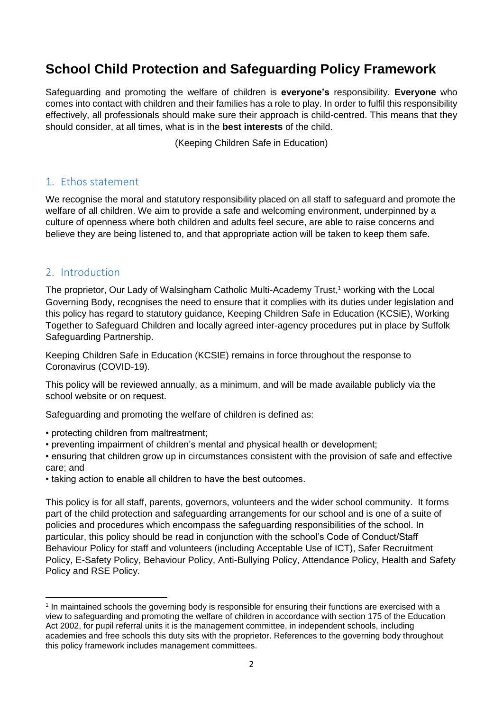# **School Child Protection and Safeguarding Policy Framework**

Safeguarding and promoting the welfare of children is **everyone's** responsibility. **Everyone** who comes into contact with children and their families has a role to play. In order to fulfil this responsibility effectively, all professionals should make sure their approach is child-centred. This means that they should consider, at all times, what is in the **best interests** of the child.

(Keeping Children Safe in Education)

## 1. Ethos statement

We recognise the moral and statutory responsibility placed on all staff to safeguard and promote the welfare of all children. We aim to provide a safe and welcoming environment, underpinned by a culture of openness where both children and adults feel secure, are able to raise concerns and believe they are being listened to, and that appropriate action will be taken to keep them safe.

## 2. Introduction

1

The proprietor, Our Lady of Walsingham Catholic Multi-Academy Trust,<sup>1</sup> working with the Local Governing Body, recognises the need to ensure that it complies with its duties under legislation and this policy has regard to statutory guidance, Keeping Children Safe in Education (KCSiE), Working Together to Safeguard Children and locally agreed inter-agency procedures put in place by Suffolk Safeguarding Partnership.

Keeping Children Safe in Education (KCSIE) remains in force throughout the response to Coronavirus (COVID-19).

This policy will be reviewed annually, as a minimum, and will be made available publicly via the school website or on request.

Safeguarding and promoting the welfare of children is defined as:

• protecting children from maltreatment;

• preventing impairment of children's mental and physical health or development;

• ensuring that children grow up in circumstances consistent with the provision of safe and effective care; and

• taking action to enable all children to have the best outcomes.

This policy is for all staff, parents, governors, volunteers and the wider school community. It forms part of the child protection and safeguarding arrangements for our school and is one of a suite of policies and procedures which encompass the safeguarding responsibilities of the school. In particular, this policy should be read in conjunction with the school's Code of Conduct/Staff Behaviour Policy for staff and volunteers (including Acceptable Use of ICT), Safer Recruitment Policy, E-Safety Policy, Behaviour Policy, Anti-Bullying Policy, Attendance Policy, Health and Safety Policy and RSE Policy.

<sup>1</sup> In maintained schools the governing body is responsible for ensuring their functions are exercised with a view to safeguarding and promoting the welfare of children in accordance with section 175 of the Education Act 2002, for pupil referral units it is the management committee, in independent schools, including academies and free schools this duty sits with the proprietor. References to the governing body throughout this policy framework includes management committees.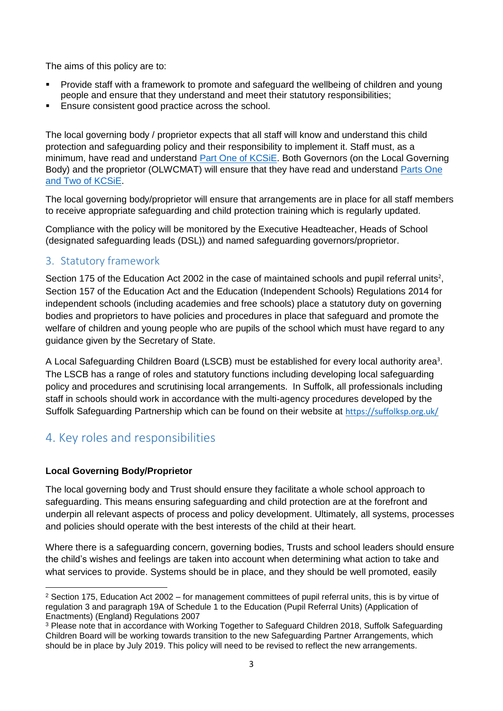The aims of this policy are to:

- Provide staff with a framework to promote and safeguard the wellbeing of children and young people and ensure that they understand and meet their statutory responsibilities;
- Ensure consistent good practice across the school.

The local governing body / proprietor expects that all staff will know and understand this child protection and safeguarding policy and their responsibility to implement it. Staff must, as a minimum, have read and understand [Part One of KCSiE.](https://www.gov.uk/government/publications/keeping-children-safe-in-education--2) Both Governors (on the Local Governing Body) and the proprietor (OLWCMAT) will ensure that they have read and understand [Parts One](https://www.gov.uk/government/publications/keeping-children-safe-in-education--2)  [and Two of KCSiE.](https://www.gov.uk/government/publications/keeping-children-safe-in-education--2)

The local governing body/proprietor will ensure that arrangements are in place for all staff members to receive appropriate safeguarding and child protection training which is regularly updated.

Compliance with the policy will be monitored by the Executive Headteacher, Heads of School (designated safeguarding leads (DSL)) and named safeguarding governors/proprietor.

## 3. Statutory framework

Section 175 of the Education Act 2002 in the case of maintained schools and pupil referral units<sup>2</sup>, Section 157 of the Education Act and the Education (Independent Schools) Regulations 2014 for independent schools (including academies and free schools) place a statutory duty on governing bodies and proprietors to have policies and procedures in place that safeguard and promote the welfare of children and young people who are pupils of the school which must have regard to any guidance given by the Secretary of State.

A Local Safeguarding Children Board (LSCB) must be established for every local authority area<sup>3</sup>. The LSCB has a range of roles and statutory functions including developing local safeguarding policy and procedures and scrutinising local arrangements. In Suffolk, all professionals including staff in schools should work in accordance with the multi-agency procedures developed by the Suffolk Safeguarding Partnership which can be found on their website at <https://suffolksp.org.uk/>

# 4. Key roles and responsibilities

### **Local Governing Body/Proprietor**

**.** 

The local governing body and Trust should ensure they facilitate a whole school approach to safeguarding. This means ensuring safeguarding and child protection are at the forefront and underpin all relevant aspects of process and policy development. Ultimately, all systems, processes and policies should operate with the best interests of the child at their heart.

Where there is a safeguarding concern, governing bodies, Trusts and school leaders should ensure the child's wishes and feelings are taken into account when determining what action to take and what services to provide. Systems should be in place, and they should be well promoted, easily

 $2$  Section 175, Education Act 2002 – for management committees of pupil referral units, this is by virtue of regulation 3 and paragraph 19A of Schedule 1 to the Education (Pupil Referral Units) (Application of Enactments) (England) Regulations 2007

<sup>3</sup> Please note that in accordance with Working Together to Safeguard Children 2018, Suffolk Safeguarding Children Board will be working towards transition to the new Safeguarding Partner Arrangements, which should be in place by July 2019. This policy will need to be revised to reflect the new arrangements.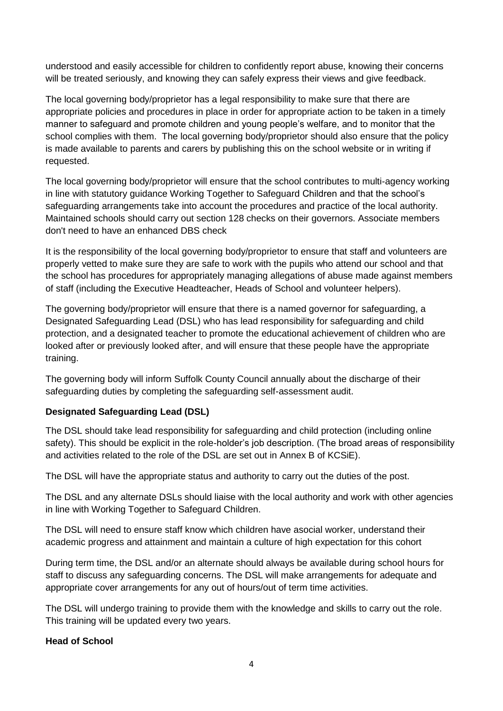understood and easily accessible for children to confidently report abuse, knowing their concerns will be treated seriously, and knowing they can safely express their views and give feedback.

The local governing body/proprietor has a legal responsibility to make sure that there are appropriate policies and procedures in place in order for appropriate action to be taken in a timely manner to safeguard and promote children and young people's welfare, and to monitor that the school complies with them. The local governing body/proprietor should also ensure that the policy is made available to parents and carers by publishing this on the school website or in writing if requested.

The local governing body/proprietor will ensure that the school contributes to multi-agency working in line with statutory guidance Working Together to Safeguard Children and that the school's safeguarding arrangements take into account the procedures and practice of the local authority. Maintained schools should carry out section 128 checks on their governors. Associate members don't need to have an enhanced DBS check

It is the responsibility of the local governing body/proprietor to ensure that staff and volunteers are properly vetted to make sure they are safe to work with the pupils who attend our school and that the school has procedures for appropriately managing allegations of abuse made against members of staff (including the Executive Headteacher, Heads of School and volunteer helpers).

The governing body/proprietor will ensure that there is a named governor for safeguarding, a Designated Safeguarding Lead (DSL) who has lead responsibility for safeguarding and child protection, and a designated teacher to promote the educational achievement of children who are looked after or previously looked after, and will ensure that these people have the appropriate training.

The governing body will inform Suffolk County Council annually about the discharge of their safeguarding duties by completing the safeguarding self-assessment audit.

### **Designated Safeguarding Lead (DSL)**

The DSL should take lead responsibility for safeguarding and child protection (including online safety). This should be explicit in the role-holder's job description. (The broad areas of responsibility and activities related to the role of the DSL are set out in Annex B of KCSiE).

The DSL will have the appropriate status and authority to carry out the duties of the post.

The DSL and any alternate DSLs should liaise with the local authority and work with other agencies in line with Working Together to Safeguard Children.

The DSL will need to ensure staff know which children have asocial worker, understand their academic progress and attainment and maintain a culture of high expectation for this cohort

During term time, the DSL and/or an alternate should always be available during school hours for staff to discuss any safeguarding concerns. The DSL will make arrangements for adequate and appropriate cover arrangements for any out of hours/out of term time activities.

The DSL will undergo training to provide them with the knowledge and skills to carry out the role. This training will be updated every two years.

#### **Head of School**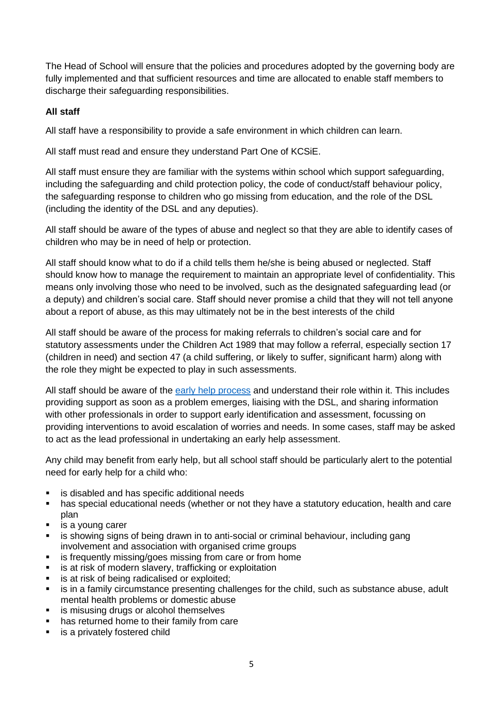The Head of School will ensure that the policies and procedures adopted by the governing body are fully implemented and that sufficient resources and time are allocated to enable staff members to discharge their safeguarding responsibilities.

## **All staff**

All staff have a responsibility to provide a safe environment in which children can learn.

All staff must read and ensure they understand Part One of KCSiE.

All staff must ensure they are familiar with the systems within school which support safeguarding, including the safeguarding and child protection policy, the code of conduct/staff behaviour policy, the safeguarding response to children who go missing from education, and the role of the DSL (including the identity of the DSL and any deputies).

All staff should be aware of the types of abuse and neglect so that they are able to identify cases of children who may be in need of help or protection.

All staff should know what to do if a child tells them he/she is being abused or neglected. Staff should know how to manage the requirement to maintain an appropriate level of confidentiality. This means only involving those who need to be involved, such as the designated safeguarding lead (or a deputy) and children's social care. Staff should never promise a child that they will not tell anyone about a report of abuse, as this may ultimately not be in the best interests of the child

All staff should be aware of the process for making referrals to children's social care and for statutory assessments under the Children Act 1989 that may follow a referral, especially section 17 (children in need) and section 47 (a child suffering, or likely to suffer, significant harm) along with the role they might be expected to play in such assessments.

All staff should be aware of the [early help process](http://suffolkscb.org.uk/working-with-children/early-help/) and understand their role within it. This includes providing support as soon as a problem emerges, liaising with the DSL, and sharing information with other professionals in order to support early identification and assessment, focussing on providing interventions to avoid escalation of worries and needs. In some cases, staff may be asked to act as the lead professional in undertaking an early help assessment.

Any child may benefit from early help, but all school staff should be particularly alert to the potential need for early help for a child who:

- is disabled and has specific additional needs
- **•** has special educational needs (whether or not they have a statutory education, health and care plan
- is a young carer
- is showing signs of being drawn in to anti-social or criminal behaviour, including gang involvement and association with organised crime groups
- is frequently missing/goes missing from care or from home
- **E** is at risk of modern slavery, trafficking or exploitation
- is at risk of being radicalised or exploited;
- **.** is in a family circumstance presenting challenges for the child, such as substance abuse, adult mental health problems or domestic abuse
- is misusing drugs or alcohol themselves
- has returned home to their family from care
- **E** is a privately fostered child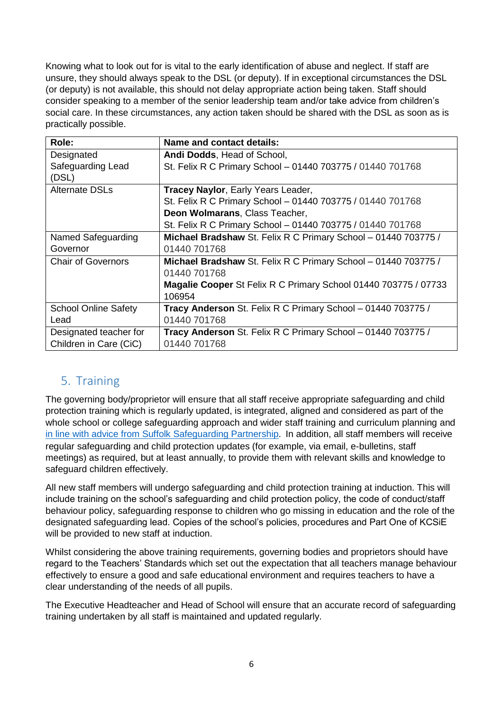Knowing what to look out for is vital to the early identification of abuse and neglect. If staff are unsure, they should always speak to the DSL (or deputy). If in exceptional circumstances the DSL (or deputy) is not available, this should not delay appropriate action being taken. Staff should consider speaking to a member of the senior leadership team and/or take advice from children's social care. In these circumstances, any action taken should be shared with the DSL as soon as is practically possible.

| Role:                       | Name and contact details:                                       |
|-----------------------------|-----------------------------------------------------------------|
| Designated                  | Andi Dodds, Head of School,                                     |
| Safeguarding Lead           | St. Felix R C Primary School - 01440 703775 / 01440 701768      |
| (DSL)                       |                                                                 |
| <b>Alternate DSLs</b>       | <b>Tracey Naylor, Early Years Leader,</b>                       |
|                             | St. Felix R C Primary School - 01440 703775 / 01440 701768      |
|                             | Deon Wolmarans, Class Teacher,                                  |
|                             | St. Felix R C Primary School - 01440 703775 / 01440 701768      |
| Named Safeguarding          | Michael Bradshaw St. Felix R C Primary School - 01440 703775 /  |
| Governor                    | 01440 701768                                                    |
| <b>Chair of Governors</b>   | Michael Bradshaw St. Felix R C Primary School - 01440 703775 /  |
|                             | 01440 701768                                                    |
|                             | Magalie Cooper St Felix R C Primary School 01440 703775 / 07733 |
|                             | 106954                                                          |
| <b>School Online Safety</b> | Tracy Anderson St. Felix R C Primary School - 01440 703775 /    |
| Lead                        | 01440 701768                                                    |
| Designated teacher for      | Tracy Anderson St. Felix R C Primary School - 01440 703775 /    |
| Children in Care (CiC)      | 01440 701768                                                    |

## 5. Training

The governing body/proprietor will ensure that all staff receive appropriate safeguarding and child protection training which is regularly updated, is integrated, aligned and considered as part of the whole school or college safeguarding approach and wider staff training and curriculum planning and [in line with advice from Suffolk](http://suffolkscb.org.uk/working-with-children/education/) Safeguarding Partnership. In addition, all staff members will receive regular safeguarding and child protection updates (for example, via email, e-bulletins, staff meetings) as required, but at least annually, to provide them with relevant skills and knowledge to safeguard children effectively.

All new staff members will undergo safeguarding and child protection training at induction. This will include training on the school's safeguarding and child protection policy, the code of conduct/staff behaviour policy, safeguarding response to children who go missing in education and the role of the designated safeguarding lead. Copies of the school's policies, procedures and Part One of KCSiE will be provided to new staff at induction.

Whilst considering the above training requirements, governing bodies and proprietors should have regard to the Teachers' Standards which set out the expectation that all teachers manage behaviour effectively to ensure a good and safe educational environment and requires teachers to have a clear understanding of the needs of all pupils.

The Executive Headteacher and Head of School will ensure that an accurate record of safeguarding training undertaken by all staff is maintained and updated regularly.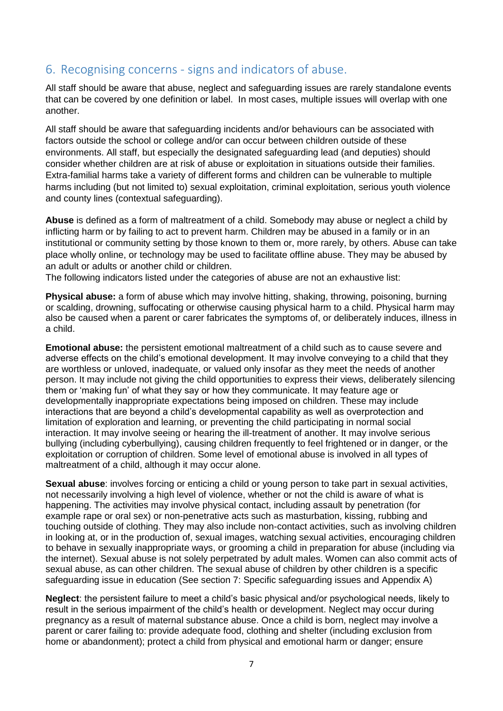## 6. Recognising concerns - signs and indicators of abuse.

All staff should be aware that abuse, neglect and safeguarding issues are rarely standalone events that can be covered by one definition or label. In most cases, multiple issues will overlap with one another.

All staff should be aware that safeguarding incidents and/or behaviours can be associated with factors outside the school or college and/or can occur between children outside of these environments. All staff, but especially the designated safeguarding lead (and deputies) should consider whether children are at risk of abuse or exploitation in situations outside their families. Extra-familial harms take a variety of different forms and children can be vulnerable to multiple harms including (but not limited to) sexual exploitation, criminal exploitation, serious youth violence and county lines (contextual safeguarding).

**Abuse** is defined as a form of maltreatment of a child. Somebody may abuse or neglect a child by inflicting harm or by failing to act to prevent harm. Children may be abused in a family or in an institutional or community setting by those known to them or, more rarely, by others. Abuse can take place wholly online, or technology may be used to facilitate offline abuse. They may be abused by an adult or adults or another child or children.

The following indicators listed under the categories of abuse are not an exhaustive list:

**Physical abuse:** a form of abuse which may involve hitting, shaking, throwing, poisoning, burning or scalding, drowning, suffocating or otherwise causing physical harm to a child. Physical harm may also be caused when a parent or carer fabricates the symptoms of, or deliberately induces, illness in a child.

**Emotional abuse:** the persistent emotional maltreatment of a child such as to cause severe and adverse effects on the child's emotional development. It may involve conveying to a child that they are worthless or unloved, inadequate, or valued only insofar as they meet the needs of another person. It may include not giving the child opportunities to express their views, deliberately silencing them or 'making fun' of what they say or how they communicate. It may feature age or developmentally inappropriate expectations being imposed on children. These may include interactions that are beyond a child's developmental capability as well as overprotection and limitation of exploration and learning, or preventing the child participating in normal social interaction. It may involve seeing or hearing the ill-treatment of another. It may involve serious bullying (including cyberbullying), causing children frequently to feel frightened or in danger, or the exploitation or corruption of children. Some level of emotional abuse is involved in all types of maltreatment of a child, although it may occur alone.

**Sexual abuse**: involves forcing or enticing a child or young person to take part in sexual activities, not necessarily involving a high level of violence, whether or not the child is aware of what is happening. The activities may involve physical contact, including assault by penetration (for example rape or oral sex) or non-penetrative acts such as masturbation, kissing, rubbing and touching outside of clothing. They may also include non-contact activities, such as involving children in looking at, or in the production of, sexual images, watching sexual activities, encouraging children to behave in sexually inappropriate ways, or grooming a child in preparation for abuse (including via the internet). Sexual abuse is not solely perpetrated by adult males. Women can also commit acts of sexual abuse, as can other children. The sexual abuse of children by other children is a specific safeguarding issue in education (See section 7: Specific safeguarding issues and Appendix A)

**Neglect**: the persistent failure to meet a child's basic physical and/or psychological needs, likely to result in the serious impairment of the child's health or development. Neglect may occur during pregnancy as a result of maternal substance abuse. Once a child is born, neglect may involve a parent or carer failing to: provide adequate food, clothing and shelter (including exclusion from home or abandonment); protect a child from physical and emotional harm or danger; ensure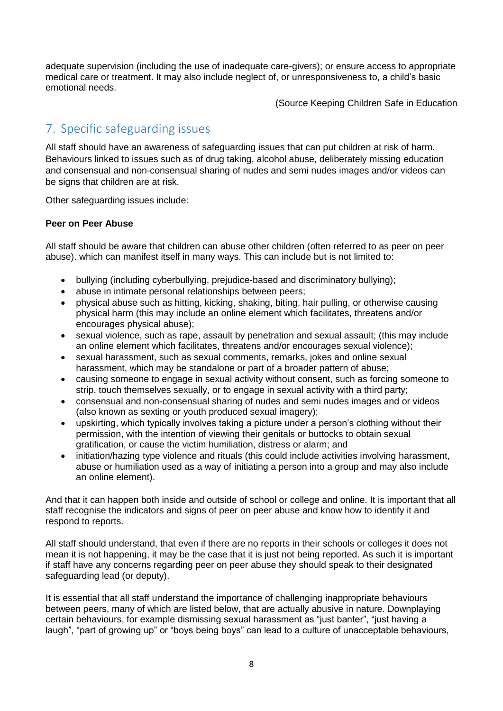adequate supervision (including the use of inadequate care-givers); or ensure access to appropriate medical care or treatment. It may also include neglect of, or unresponsiveness to, a child's basic emotional needs.

(Source Keeping Children Safe in Education

## 7. Specific safeguarding issues

All staff should have an awareness of safeguarding issues that can put children at risk of harm. Behaviours linked to issues such as of drug taking, alcohol abuse, deliberately missing education and consensual and non-consensual sharing of nudes and semi nudes images and/or videos can be signs that children are at risk.

Other safeguarding issues include:

#### **Peer on Peer Abuse**

All staff should be aware that children can abuse other children (often referred to as peer on peer abuse). which can manifest itself in many ways. This can include but is not limited to:

- bullying (including cyberbullying, prejudice-based and discriminatory bullying);
- abuse in intimate personal relationships between peers;
- physical abuse such as hitting, kicking, shaking, biting, hair pulling, or otherwise causing physical harm (this may include an online element which facilitates, threatens and/or encourages physical abuse);
- sexual violence, such as rape, assault by penetration and sexual assault; (this may include an online element which facilitates, threatens and/or encourages sexual violence);
- sexual harassment, such as sexual comments, remarks, jokes and online sexual harassment, which may be standalone or part of a broader pattern of abuse;
- causing someone to engage in sexual activity without consent, such as forcing someone to strip, touch themselves sexually, or to engage in sexual activity with a third party;
- consensual and non-consensual sharing of nudes and semi nudes images and or videos (also known as sexting or youth produced sexual imagery);
- upskirting, which typically involves taking a picture under a person's clothing without their permission, with the intention of viewing their genitals or buttocks to obtain sexual gratification, or cause the victim humiliation, distress or alarm; and
- initiation/hazing type violence and rituals (this could include activities involving harassment, abuse or humiliation used as a way of initiating a person into a group and may also include an online element).

And that it can happen both inside and outside of school or college and online. It is important that all staff recognise the indicators and signs of peer on peer abuse and know how to identify it and respond to reports.

All staff should understand, that even if there are no reports in their schools or colleges it does not mean it is not happening, it may be the case that it is just not being reported. As such it is important if staff have any concerns regarding peer on peer abuse they should speak to their designated safeguarding lead (or deputy).

It is essential that all staff understand the importance of challenging inappropriate behaviours between peers, many of which are listed below, that are actually abusive in nature. Downplaying certain behaviours, for example dismissing sexual harassment as "just banter", "just having a laugh", "part of growing up" or "boys being boys" can lead to a culture of unacceptable behaviours,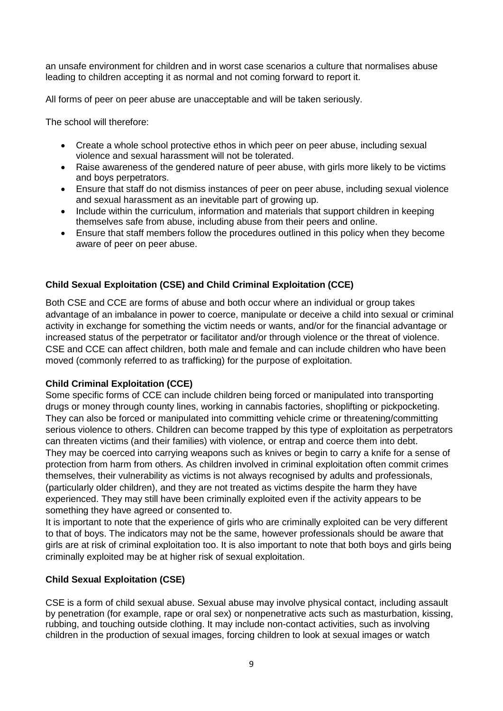an unsafe environment for children and in worst case scenarios a culture that normalises abuse leading to children accepting it as normal and not coming forward to report it.

All forms of peer on peer abuse are unacceptable and will be taken seriously.

The school will therefore:

- Create a whole school protective ethos in which peer on peer abuse, including sexual violence and sexual harassment will not be tolerated.
- Raise awareness of the gendered nature of peer abuse, with girls more likely to be victims and boys perpetrators.
- Ensure that staff do not dismiss instances of peer on peer abuse, including sexual violence and sexual harassment as an inevitable part of growing up.
- Include within the curriculum, information and materials that support children in keeping themselves safe from abuse, including abuse from their peers and online.
- Ensure that staff members follow the procedures outlined in this policy when they become aware of peer on peer abuse.

## **Child Sexual Exploitation (CSE) and Child Criminal Exploitation (CCE)**

Both CSE and CCE are forms of abuse and both occur where an individual or group takes advantage of an imbalance in power to coerce, manipulate or deceive a child into sexual or criminal activity in exchange for something the victim needs or wants, and/or for the financial advantage or increased status of the perpetrator or facilitator and/or through violence or the threat of violence. CSE and CCE can affect children, both male and female and can include children who have been moved (commonly referred to as trafficking) for the purpose of exploitation.

### **Child Criminal Exploitation (CCE)**

Some specific forms of CCE can include children being forced or manipulated into transporting drugs or money through county lines, working in cannabis factories, shoplifting or pickpocketing. They can also be forced or manipulated into committing vehicle crime or threatening/committing serious violence to others. Children can become trapped by this type of exploitation as perpetrators can threaten victims (and their families) with violence, or entrap and coerce them into debt. They may be coerced into carrying weapons such as knives or begin to carry a knife for a sense of protection from harm from others. As children involved in criminal exploitation often commit crimes themselves, their vulnerability as victims is not always recognised by adults and professionals, (particularly older children), and they are not treated as victims despite the harm they have experienced. They may still have been criminally exploited even if the activity appears to be something they have agreed or consented to.

It is important to note that the experience of girls who are criminally exploited can be very different to that of boys. The indicators may not be the same, however professionals should be aware that girls are at risk of criminal exploitation too. It is also important to note that both boys and girls being criminally exploited may be at higher risk of sexual exploitation.

### **Child Sexual Exploitation (CSE)**

CSE is a form of child sexual abuse. Sexual abuse may involve physical contact, including assault by penetration (for example, rape or oral sex) or nonpenetrative acts such as masturbation, kissing, rubbing, and touching outside clothing. It may include non-contact activities, such as involving children in the production of sexual images, forcing children to look at sexual images or watch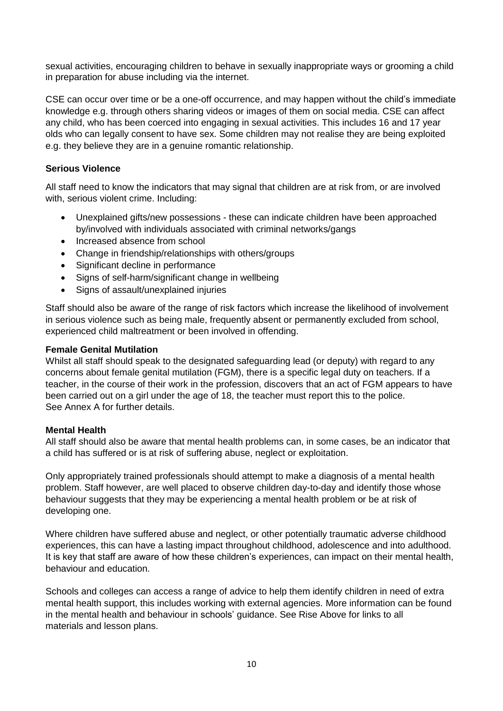sexual activities, encouraging children to behave in sexually inappropriate ways or grooming a child in preparation for abuse including via the internet.

CSE can occur over time or be a one-off occurrence, and may happen without the child's immediate knowledge e.g. through others sharing videos or images of them on social media. CSE can affect any child, who has been coerced into engaging in sexual activities. This includes 16 and 17 year olds who can legally consent to have sex. Some children may not realise they are being exploited e.g. they believe they are in a genuine romantic relationship.

#### **Serious Violence**

All staff need to know the indicators that may signal that children are at risk from, or are involved with, serious violent crime. Including:

- Unexplained gifts/new possessions these can indicate children have been approached by/involved with individuals associated with criminal networks/gangs
- Increased absence from school
- Change in friendship/relationships with others/groups
- Significant decline in performance
- Signs of self-harm/significant change in wellbeing
- Signs of assault/unexplained injuries

Staff should also be aware of the range of risk factors which increase the likelihood of involvement in serious violence such as being male, frequently absent or permanently excluded from school, experienced child maltreatment or been involved in offending.

#### **Female Genital Mutilation**

Whilst all staff should speak to the designated safeguarding lead (or deputy) with regard to any concerns about female genital mutilation (FGM), there is a specific legal duty on teachers. If a teacher, in the course of their work in the profession, discovers that an act of FGM appears to have been carried out on a girl under the age of 18, the teacher must report this to the police. See Annex A for further details.

#### **Mental Health**

All staff should also be aware that mental health problems can, in some cases, be an indicator that a child has suffered or is at risk of suffering abuse, neglect or exploitation.

Only appropriately trained professionals should attempt to make a diagnosis of a mental health problem. Staff however, are well placed to observe children day-to-day and identify those whose behaviour suggests that they may be experiencing a mental health problem or be at risk of developing one.

Where children have suffered abuse and neglect, or other potentially traumatic adverse childhood experiences, this can have a lasting impact throughout childhood, adolescence and into adulthood. It is key that staff are aware of how these children's experiences, can impact on their mental health, behaviour and education.

Schools and colleges can access a range of advice to help them identify children in need of extra mental health support, this includes working with external agencies. More information can be found in the mental health and behaviour in schools' guidance. See Rise Above for links to all materials and lesson plans.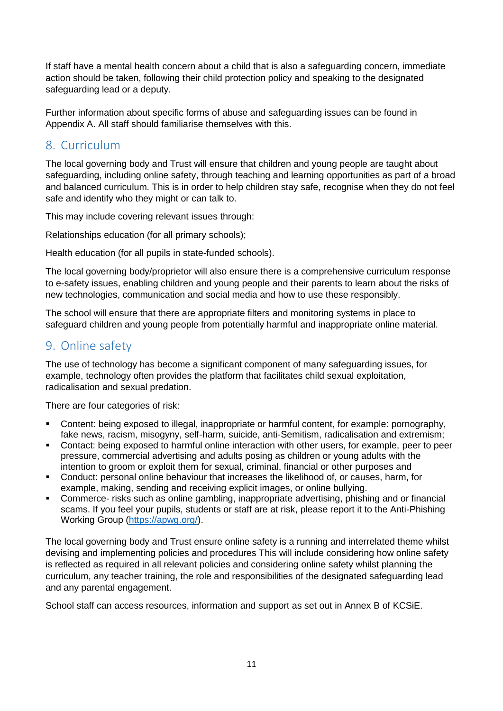If staff have a mental health concern about a child that is also a safeguarding concern, immediate action should be taken, following their child protection policy and speaking to the designated safeguarding lead or a deputy.

Further information about specific forms of abuse and safeguarding issues can be found in Appendix A. All staff should familiarise themselves with this.

## 8. Curriculum

The local governing body and Trust will ensure that children and young people are taught about safeguarding, including online safety, through teaching and learning opportunities as part of a broad and balanced curriculum. This is in order to help children stay safe, recognise when they do not feel safe and identify who they might or can talk to.

This may include covering relevant issues through:

Relationships education (for all primary schools);

Health education (for all pupils in state-funded schools).

The local governing body/proprietor will also ensure there is a comprehensive curriculum response to e-safety issues, enabling children and young people and their parents to learn about the risks of new technologies, communication and social media and how to use these responsibly.

The school will ensure that there are appropriate filters and monitoring systems in place to safeguard children and young people from potentially harmful and inappropriate online material.

## 9. Online safety

The use of technology has become a significant component of many safeguarding issues, for example, technology often provides the platform that facilitates child sexual exploitation, radicalisation and sexual predation.

There are four categories of risk:

- Content: being exposed to illegal, inappropriate or harmful content, for example: pornography, fake news, racism, misogyny, self-harm, suicide, anti-Semitism, radicalisation and extremism;
- Contact: being exposed to harmful online interaction with other users, for example, peer to peer pressure, commercial advertising and adults posing as children or young adults with the intention to groom or exploit them for sexual, criminal, financial or other purposes and
- Conduct: personal online behaviour that increases the likelihood of, or causes, harm, for example, making, sending and receiving explicit images, or online bullying.
- Commerce- risks such as online gambling, inappropriate advertising, phishing and or financial scams. If you feel your pupils, students or staff are at risk, please report it to the Anti-Phishing Working Group [\(https://apwg.org/\)](https://apwg.org/).

The local governing body and Trust ensure online safety is a running and interrelated theme whilst devising and implementing policies and procedures This will include considering how online safety is reflected as required in all relevant policies and considering online safety whilst planning the curriculum, any teacher training, the role and responsibilities of the designated safeguarding lead and any parental engagement.

School staff can access resources, information and support as set out in Annex B of KCSiE.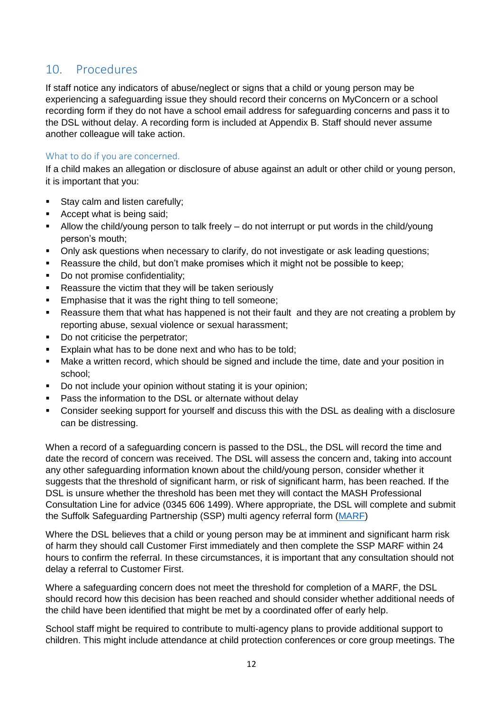## 10. Procedures

If staff notice any indicators of abuse/neglect or signs that a child or young person may be experiencing a safeguarding issue they should record their concerns on MyConcern or a school recording form if they do not have a school email address for safeguarding concerns and pass it to the DSL without delay. A recording form is included at Appendix B. Staff should never assume another colleague will take action.

## What to do if you are concerned.

If a child makes an allegation or disclosure of abuse against an adult or other child or young person, it is important that you:

- **EXECT** Stay calm and listen carefully;
- Accept what is being said;
- Allow the child/young person to talk freely do not interrupt or put words in the child/young person's mouth;
- Only ask questions when necessary to clarify, do not investigate or ask leading questions;
- Reassure the child, but don't make promises which it might not be possible to keep;
- Do not promise confidentiality;
- Reassure the victim that they will be taken seriously
- **Emphasise that it was the right thing to tell someone;**
- Reassure them that what has happened is not their fault and they are not creating a problem by reporting abuse, sexual violence or sexual harassment;
- Do not criticise the perpetrator;
- Explain what has to be done next and who has to be told;
- Make a written record, which should be signed and include the time, date and your position in school;
- Do not include your opinion without stating it is your opinion;
- Pass the information to the DSL or alternate without delay
- Consider seeking support for yourself and discuss this with the DSL as dealing with a disclosure can be distressing.

When a record of a safeguarding concern is passed to the DSL, the DSL will record the time and date the record of concern was received. The DSL will assess the concern and, taking into account any other safeguarding information known about the child/young person, consider whether it suggests that the threshold of significant harm, or risk of significant harm, has been reached. If the DSL is unsure whether the threshold has been met they will contact the MASH Professional Consultation Line for advice (0345 606 1499). Where appropriate, the DSL will complete and submit the Suffolk Safeguarding Partnership (SSP) multi agency referral form [\(MARF\)](https://earlyhelpportal.suffolk.gov.uk/web/portal/pages/marf#h1)

Where the DSL believes that a child or young person may be at imminent and significant harm risk of harm they should call Customer First immediately and then complete the SSP MARF within 24 hours to confirm the referral. In these circumstances, it is important that any consultation should not delay a referral to Customer First.

Where a safeguarding concern does not meet the threshold for completion of a MARF, the DSL should record how this decision has been reached and should consider whether additional needs of the child have been identified that might be met by a coordinated offer of early help.

School staff might be required to contribute to multi-agency plans to provide additional support to children. This might include attendance at child protection conferences or core group meetings. The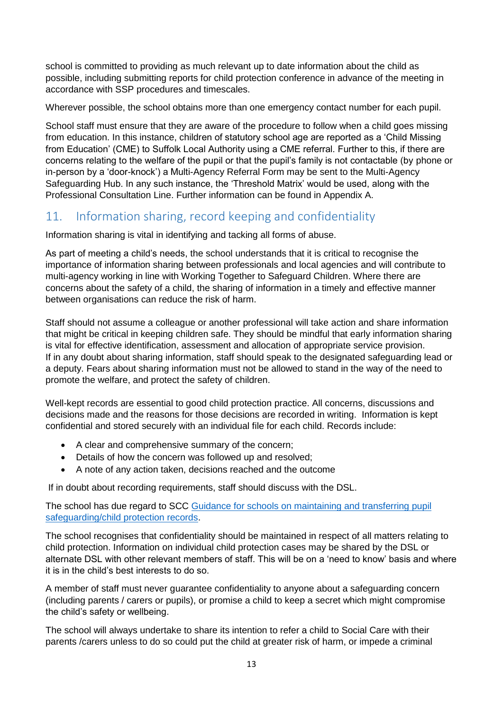school is committed to providing as much relevant up to date information about the child as possible, including submitting reports for child protection conference in advance of the meeting in accordance with SSP procedures and timescales.

Wherever possible, the school obtains more than one emergency contact number for each pupil.

School staff must ensure that they are aware of the procedure to follow when a child goes missing from education. In this instance, children of statutory school age are reported as a 'Child Missing from Education' (CME) to Suffolk Local Authority using a CME referral. Further to this, if there are concerns relating to the welfare of the pupil or that the pupil's family is not contactable (by phone or in-person by a 'door-knock') a Multi-Agency Referral Form may be sent to the Multi-Agency Safeguarding Hub. In any such instance, the 'Threshold Matrix' would be used, along with the Professional Consultation Line. Further information can be found in Appendix A.

## 11. Information sharing, record keeping and confidentiality

Information sharing is vital in identifying and tacking all forms of abuse.

As part of meeting a child's needs, the school understands that it is critical to recognise the importance of information sharing between professionals and local agencies and will contribute to multi-agency working in line with Working Together to Safeguard Children. Where there are concerns about the safety of a child, the sharing of information in a timely and effective manner between organisations can reduce the risk of harm.

Staff should not assume a colleague or another professional will take action and share information that might be critical in keeping children safe. They should be mindful that early information sharing is vital for effective identification, assessment and allocation of appropriate service provision. If in any doubt about sharing information, staff should speak to the designated safeguarding lead or a deputy. Fears about sharing information must not be allowed to stand in the way of the need to promote the welfare, and protect the safety of children.

Well-kept records are essential to good child protection practice. All concerns, discussions and decisions made and the reasons for those decisions are recorded in writing. Information is kept confidential and stored securely with an individual file for each child. Records include:

- A clear and comprehensive summary of the concern;
- Details of how the concern was followed up and resolved;
- A note of any action taken, decisions reached and the outcome

If in doubt about recording requirements, staff should discuss with the DSL.

The school has due regard to SCC [Guidance for schools on maintaining and transferring pupil](http://suffolkscb.org.uk/assets/Working-with-Children/Education/SCC-Guidance-for-schools-on-maintaining-pupil-safeguarding.pdf)  [safeguarding/child protection records.](http://suffolkscb.org.uk/assets/Working-with-Children/Education/SCC-Guidance-for-schools-on-maintaining-pupil-safeguarding.pdf)

The school recognises that confidentiality should be maintained in respect of all matters relating to child protection. Information on individual child protection cases may be shared by the DSL or alternate DSL with other relevant members of staff. This will be on a 'need to know' basis and where it is in the child's best interests to do so.

A member of staff must never guarantee confidentiality to anyone about a safeguarding concern (including parents / carers or pupils), or promise a child to keep a secret which might compromise the child's safety or wellbeing.

The school will always undertake to share its intention to refer a child to Social Care with their parents /carers unless to do so could put the child at greater risk of harm, or impede a criminal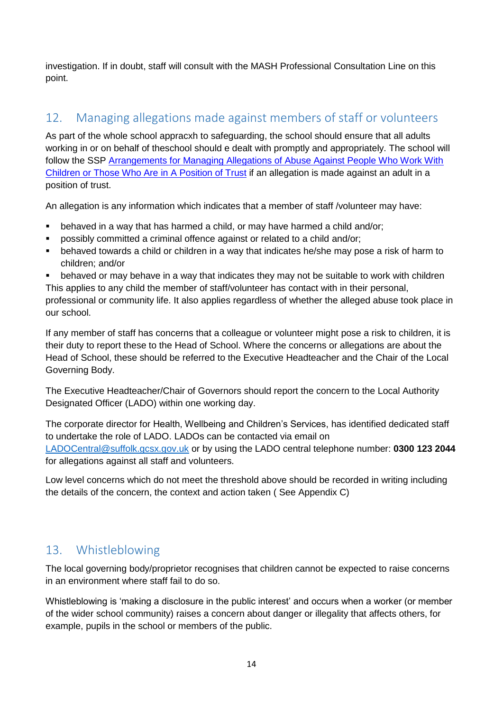investigation. If in doubt, staff will consult with the MASH Professional Consultation Line on this point.

## 12. Managing allegations made against members of staff or volunteers

As part of the whole school appracxh to safeguarding, the school should ensure that all adults working in or on behalf of theschool should e dealt with promptly and appropriately. The school will follow the SSP [Arrangements for Managing Allegations of Abuse Against People Who Work With](https://www.suffolksp.org.uk/assets/2021-03-04-Arrangements-for-Managing-Allegations-of-Abuse-003.pdf)  [Children or Those Who Are](https://www.suffolksp.org.uk/assets/2021-03-04-Arrangements-for-Managing-Allegations-of-Abuse-003.pdf) in A Position of Trust if an allegation is made against an adult in a position of trust.

An allegation is any information which indicates that a member of staff /volunteer may have:

- behaved in a way that has harmed a child, or may have harmed a child and/or;
- possibly committed a criminal offence against or related to a child and/or;
- behaved towards a child or children in a way that indicates he/she may pose a risk of harm to children; and/or
- behaved or may behave in a way that indicates they may not be suitable to work with children

This applies to any child the member of staff/volunteer has contact with in their personal, professional or community life. It also applies regardless of whether the alleged abuse took place in our school.

If any member of staff has concerns that a colleague or volunteer might pose a risk to children, it is their duty to report these to the Head of School. Where the concerns or allegations are about the Head of School, these should be referred to the Executive Headteacher and the Chair of the Local Governing Body.

The Executive Headteacher/Chair of Governors should report the concern to the Local Authority Designated Officer (LADO) within one working day.

The corporate director for Health, Wellbeing and Children's Services, has identified dedicated staff to undertake the role of LADO. LADOs can be contacted via email on [LADOCentral@suffolk.gcsx.gov.uk](mailto:LADOCentral@suffolk.gcsx.gov.uk) or by using the LADO central telephone number: **0300 123 2044** for allegations against all staff and volunteers.

Low level concerns which do not meet the threshold above should be recorded in writing including the details of the concern, the context and action taken ( See Appendix C)

## 13. Whistleblowing

The local governing body/proprietor recognises that children cannot be expected to raise concerns in an environment where staff fail to do so.

Whistleblowing is 'making a disclosure in the public interest' and occurs when a worker (or member of the wider school community) raises a concern about danger or illegality that affects others, for example, pupils in the school or members of the public.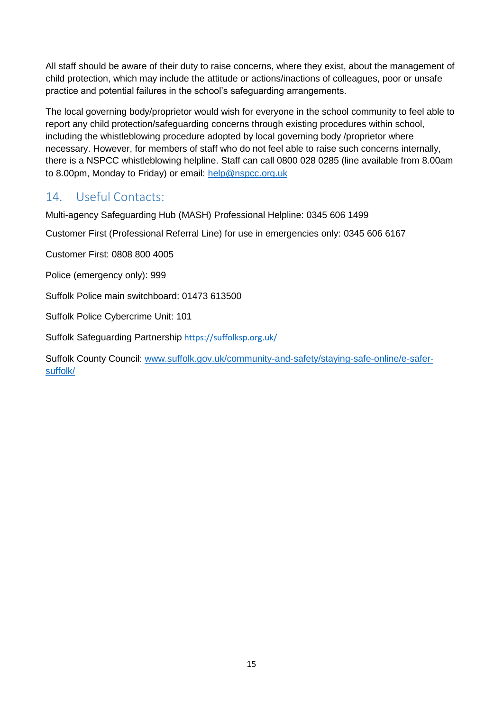All staff should be aware of their duty to raise concerns, where they exist, about the management of child protection, which may include the attitude or actions/inactions of colleagues, poor or unsafe practice and potential failures in the school's safeguarding arrangements.

The local governing body/proprietor would wish for everyone in the school community to feel able to report any child protection/safeguarding concerns through existing procedures within school, including the whistleblowing procedure adopted by local governing body /proprietor where necessary. However, for members of staff who do not feel able to raise such concerns internally, there is a NSPCC whistleblowing helpline. Staff can call 0800 028 0285 (line available from 8.00am to 8.00pm, Monday to Friday) or email: [help@nspcc.org.uk](mailto:help@nspcc.org.uk)

## 14. Useful Contacts:

Multi-agency Safeguarding Hub (MASH) Professional Helpline: [0345](tel:00443456061499) 606 1499

Customer First (Professional Referral Line) for use in emergencies only: [0345](tel:00443456066167) 606 6167

Customer First: 0808 800 4005

Police (emergency only): 999

Suffolk Police main switchboard: 01473 613500

Suffolk Police Cybercrime Unit: 101

Suffolk Safeguarding Partnership <https://suffolksp.org.uk/>

Suffolk County Council: [www.suffolk.gov.uk/community-and-safety/staying-safe-online/e-safer](http://www.suffolk.gov.uk/community-and-safety/staying-safe-online/e-safer-suffolk/)[suffolk/](http://www.suffolk.gov.uk/community-and-safety/staying-safe-online/e-safer-suffolk/)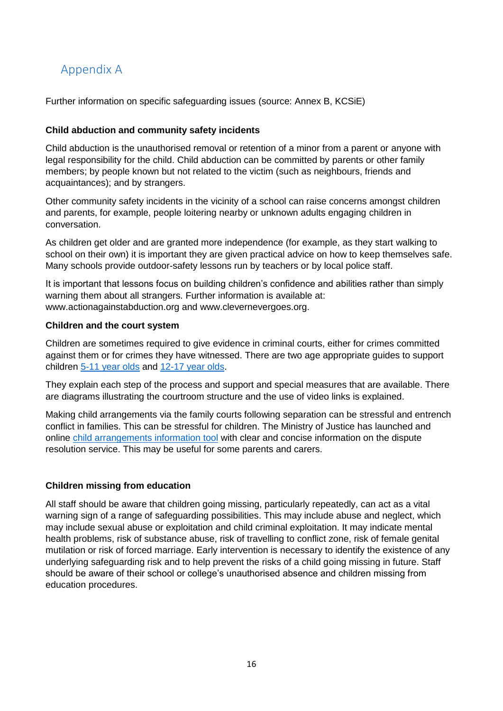# Appendix A

Further information on specific safeguarding issues (source: Annex B, KCSiE)

#### **Child abduction and community safety incidents**

Child abduction is the unauthorised removal or retention of a minor from a parent or anyone with legal responsibility for the child. Child abduction can be committed by parents or other family members; by people known but not related to the victim (such as neighbours, friends and acquaintances); and by strangers.

Other community safety incidents in the vicinity of a school can raise concerns amongst children and parents, for example, people loitering nearby or unknown adults engaging children in conversation.

As children get older and are granted more independence (for example, as they start walking to school on their own) it is important they are given practical advice on how to keep themselves safe. Many schools provide outdoor-safety lessons run by teachers or by local police staff.

It is important that lessons focus on building children's confidence and abilities rather than simply warning them about all strangers. Further information is available at: www.actionagainstabduction.org and www.clevernevergoes.org.

#### **Children and the court system**

Children are sometimes required to give evidence in criminal courts, either for crimes committed against them or for crimes they have witnessed. There are two age appropriate guides to support children [5-11 year olds](https://www.gov.uk/government/publications/young-witness-booklet-for-5-to-11-year-olds) and [12-17 year olds.](https://www.gov.uk/government/publications/young-witness-booklet-for-12-to-17-year-olds)

They explain each step of the process and support and special measures that are available. There are diagrams illustrating the courtroom structure and the use of video links is explained.

Making child arrangements via the family courts following separation can be stressful and entrench conflict in families. This can be stressful for children. The Ministry of Justice has launched and online [child arrangements information tool](http://www.nationalcrimeagency.gov.uk/about-us/what-we-do/specialist-capabilities/uk-human-trafficking-centre/national-referral-mechanism) with clear and concise information on the dispute resolution service. This may be useful for some parents and carers.

### **Children missing from education**

All staff should be aware that children going missing, particularly repeatedly, can act as a vital warning sign of a range of safeguarding possibilities. This may include abuse and neglect, which may include sexual abuse or exploitation and child criminal exploitation. It may indicate mental health problems, risk of substance abuse, risk of travelling to conflict zone, risk of female genital mutilation or risk of forced marriage. Early intervention is necessary to identify the existence of any underlying safeguarding risk and to help prevent the risks of a child going missing in future. Staff should be aware of their school or college's unauthorised absence and children missing from education procedures.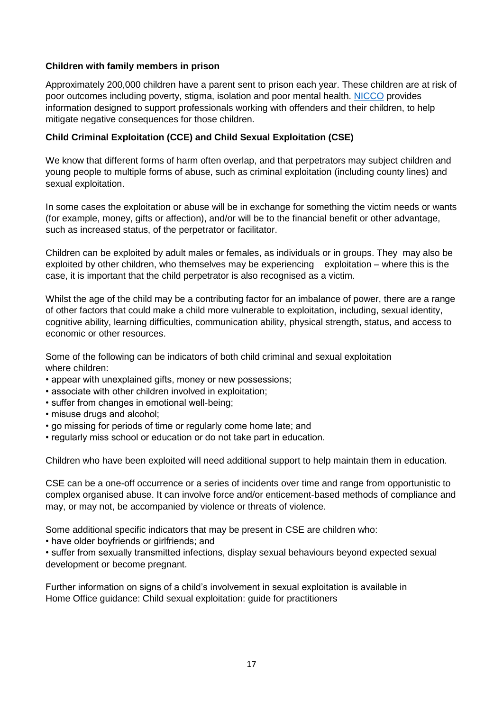#### **Children with family members in prison**

Approximately 200,000 children have a parent sent to prison each year. These children are at risk of poor outcomes including poverty, stigma, isolation and poor mental health. [NICCO](http://www.nationalcrimeagency.gov.uk/about-us/what-we-do/specialist-capabilities/uk-human-trafficking-centre/national-referral-mechanism) provides information designed to support professionals working with offenders and their children, to help mitigate negative consequences for those children.

## **Child Criminal Exploitation (CCE) and Child Sexual Exploitation (CSE)**

We know that different forms of harm often overlap, and that perpetrators may subject children and young people to multiple forms of abuse, such as criminal exploitation (including county lines) and sexual exploitation.

In some cases the exploitation or abuse will be in exchange for something the victim needs or wants (for example, money, gifts or affection), and/or will be to the financial benefit or other advantage, such as increased status, of the perpetrator or facilitator.

Children can be exploited by adult males or females, as individuals or in groups. They may also be exploited by other children, who themselves may be experiencing exploitation – where this is the case, it is important that the child perpetrator is also recognised as a victim.

Whilst the age of the child may be a contributing factor for an imbalance of power, there are a range of other factors that could make a child more vulnerable to exploitation, including, sexual identity, cognitive ability, learning difficulties, communication ability, physical strength, status, and access to economic or other resources.

Some of the following can be indicators of both child criminal and sexual exploitation where children:

- appear with unexplained gifts, money or new possessions;
- associate with other children involved in exploitation;
- suffer from changes in emotional well-being;
- misuse drugs and alcohol;
- go missing for periods of time or regularly come home late; and
- regularly miss school or education or do not take part in education.

Children who have been exploited will need additional support to help maintain them in education.

CSE can be a one-off occurrence or a series of incidents over time and range from opportunistic to complex organised abuse. It can involve force and/or enticement-based methods of compliance and may, or may not, be accompanied by violence or threats of violence.

Some additional specific indicators that may be present in CSE are children who:

• have older boyfriends or girlfriends; and

• suffer from sexually transmitted infections, display sexual behaviours beyond expected sexual development or become pregnant.

Further information on signs of a child's involvement in sexual exploitation is available in Home Office guidance: Child sexual exploitation: guide for practitioners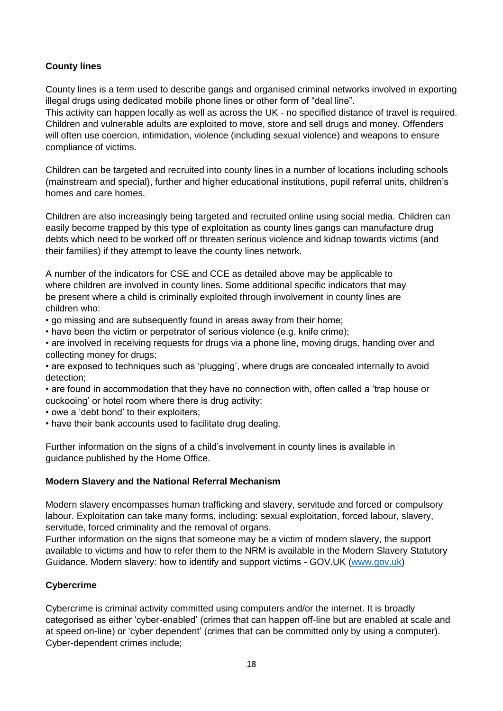## **County lines**

County lines is a term used to describe gangs and organised criminal networks involved in exporting illegal drugs using dedicated mobile phone lines or other form of "deal line".

This activity can happen locally as well as across the UK - no specified distance of travel is required. Children and vulnerable adults are exploited to move, store and sell drugs and money. Offenders will often use coercion, intimidation, violence (including sexual violence) and weapons to ensure compliance of victims.

Children can be targeted and recruited into county lines in a number of locations including schools (mainstream and special), further and higher educational institutions, pupil referral units, children's homes and care homes.

Children are also increasingly being targeted and recruited online using social media. Children can easily become trapped by this type of exploitation as county lines gangs can manufacture drug debts which need to be worked off or threaten serious violence and kidnap towards victims (and their families) if they attempt to leave the county lines network.

A number of the indicators for CSE and CCE as detailed above may be applicable to where children are involved in county lines. Some additional specific indicators that may be present where a child is criminally exploited through involvement in county lines are children who:

• go missing and are subsequently found in areas away from their home;

• have been the victim or perpetrator of serious violence (e.g. knife crime);

• are involved in receiving requests for drugs via a phone line, moving drugs, handing over and collecting money for drugs;

• are exposed to techniques such as 'plugging', where drugs are concealed internally to avoid detection;

• are found in accommodation that they have no connection with, often called a 'trap house or cuckooing' or hotel room where there is drug activity;

• owe a 'debt bond' to their exploiters;

• have their bank accounts used to facilitate drug dealing.

Further information on the signs of a child's involvement in county lines is available in guidance published by the Home Office.

### **Modern Slavery and the National Referral Mechanism**

Modern slavery encompasses human trafficking and slavery, servitude and forced or compulsory labour. Exploitation can take many forms, including: sexual exploitation, forced labour, slavery, servitude, forced criminality and the removal of organs.

Further information on the signs that someone may be a victim of modern slavery, the support available to victims and how to refer them to the NRM is available in the Modern Slavery Statutory Guidance. Modern slavery: how to identify and support victims - GOV.UK [\(www.gov.uk\)](http://www.gov.uk/)

### **Cybercrime**

Cybercrime is criminal activity committed using computers and/or the internet. It is broadly categorised as either 'cyber-enabled' (crimes that can happen off-line but are enabled at scale and at speed on-line) or 'cyber dependent' (crimes that can be committed only by using a computer). Cyber-dependent crimes include;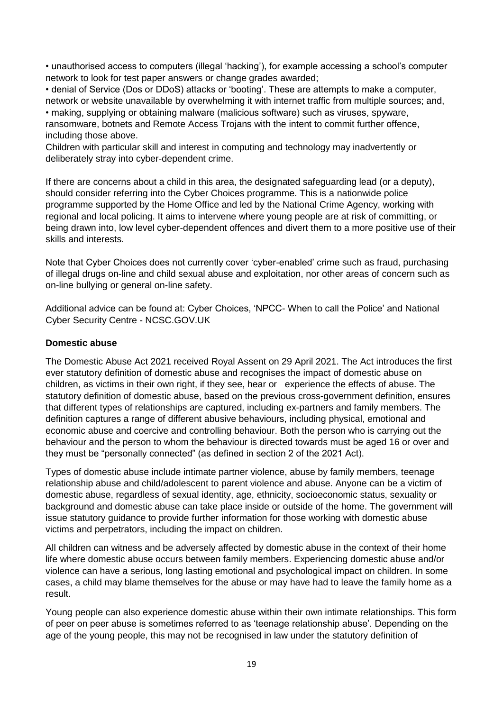• unauthorised access to computers (illegal 'hacking'), for example accessing a school's computer network to look for test paper answers or change grades awarded;

• denial of Service (Dos or DDoS) attacks or 'booting'. These are attempts to make a computer, network or website unavailable by overwhelming it with internet traffic from multiple sources; and, • making, supplying or obtaining malware (malicious software) such as viruses, spyware, ransomware, botnets and Remote Access Trojans with the intent to commit further offence, including those above.

Children with particular skill and interest in computing and technology may inadvertently or deliberately stray into cyber-dependent crime.

If there are concerns about a child in this area, the designated safeguarding lead (or a deputy), should consider referring into the Cyber Choices programme. This is a nationwide police programme supported by the Home Office and led by the National Crime Agency, working with regional and local policing. It aims to intervene where young people are at risk of committing, or being drawn into, low level cyber-dependent offences and divert them to a more positive use of their skills and interests.

Note that Cyber Choices does not currently cover 'cyber-enabled' crime such as fraud, purchasing of illegal drugs on-line and child sexual abuse and exploitation, nor other areas of concern such as on-line bullying or general on-line safety.

Additional advice can be found at: Cyber Choices, 'NPCC- When to call the Police' and National Cyber Security Centre - NCSC.GOV.UK

#### **Domestic abuse**

The Domestic Abuse Act 2021 received Royal Assent on 29 April 2021. The Act introduces the first ever statutory definition of domestic abuse and recognises the impact of domestic abuse on children, as victims in their own right, if they see, hear or experience the effects of abuse. The statutory definition of domestic abuse, based on the previous cross-government definition, ensures that different types of relationships are captured, including ex-partners and family members. The definition captures a range of different abusive behaviours, including physical, emotional and economic abuse and coercive and controlling behaviour. Both the person who is carrying out the behaviour and the person to whom the behaviour is directed towards must be aged 16 or over and they must be "personally connected" (as defined in section 2 of the 2021 Act).

Types of domestic abuse include intimate partner violence, abuse by family members, teenage relationship abuse and child/adolescent to parent violence and abuse. Anyone can be a victim of domestic abuse, regardless of sexual identity, age, ethnicity, socioeconomic status, sexuality or background and domestic abuse can take place inside or outside of the home. The government will issue statutory guidance to provide further information for those working with domestic abuse victims and perpetrators, including the impact on children.

All children can witness and be adversely affected by domestic abuse in the context of their home life where domestic abuse occurs between family members. Experiencing domestic abuse and/or violence can have a serious, long lasting emotional and psychological impact on children. In some cases, a child may blame themselves for the abuse or may have had to leave the family home as a result.

Young people can also experience domestic abuse within their own intimate relationships. This form of peer on peer abuse is sometimes referred to as 'teenage relationship abuse'. Depending on the age of the young people, this may not be recognised in law under the statutory definition of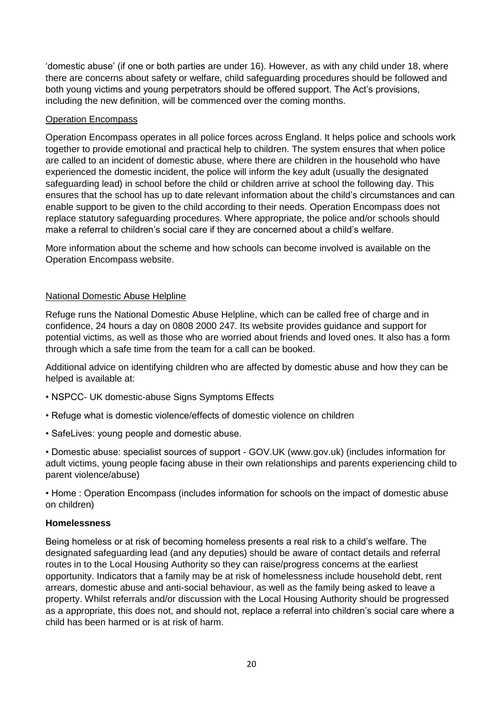'domestic abuse' (if one or both parties are under 16). However, as with any child under 18, where there are concerns about safety or welfare, child safeguarding procedures should be followed and both young victims and young perpetrators should be offered support. The Act's provisions, including the new definition, will be commenced over the coming months.

#### Operation Encompass

Operation Encompass operates in all police forces across England. It helps police and schools work together to provide emotional and practical help to children. The system ensures that when police are called to an incident of domestic abuse, where there are children in the household who have experienced the domestic incident, the police will inform the key adult (usually the designated safeguarding lead) in school before the child or children arrive at school the following day. This ensures that the school has up to date relevant information about the child's circumstances and can enable support to be given to the child according to their needs. Operation Encompass does not replace statutory safeguarding procedures. Where appropriate, the police and/or schools should make a referral to children's social care if they are concerned about a child's welfare.

More information about the scheme and how schools can become involved is available on the Operation Encompass website.

#### National Domestic Abuse Helpline

Refuge runs the National Domestic Abuse Helpline, which can be called free of charge and in confidence, 24 hours a day on 0808 2000 247. Its website provides guidance and support for potential victims, as well as those who are worried about friends and loved ones. It also has a form through which a safe time from the team for a call can be booked.

Additional advice on identifying children who are affected by domestic abuse and how they can be helped is available at:

- NSPCC- UK domestic-abuse Signs Symptoms Effects
- Refuge what is domestic violence/effects of domestic violence on children
- SafeLives: young people and domestic abuse.

• Domestic abuse: specialist sources of support - GOV.UK (www.gov.uk) (includes information for adult victims, young people facing abuse in their own relationships and parents experiencing child to parent violence/abuse)

• Home : Operation Encompass (includes information for schools on the impact of domestic abuse on children)

#### **Homelessness**

Being homeless or at risk of becoming homeless presents a real risk to a child's welfare. The designated safeguarding lead (and any deputies) should be aware of contact details and referral routes in to the Local Housing Authority so they can raise/progress concerns at the earliest opportunity. Indicators that a family may be at risk of homelessness include household debt, rent arrears, domestic abuse and anti-social behaviour, as well as the family being asked to leave a property. Whilst referrals and/or discussion with the Local Housing Authority should be progressed as a appropriate, this does not, and should not, replace a referral into children's social care where a child has been harmed or is at risk of harm.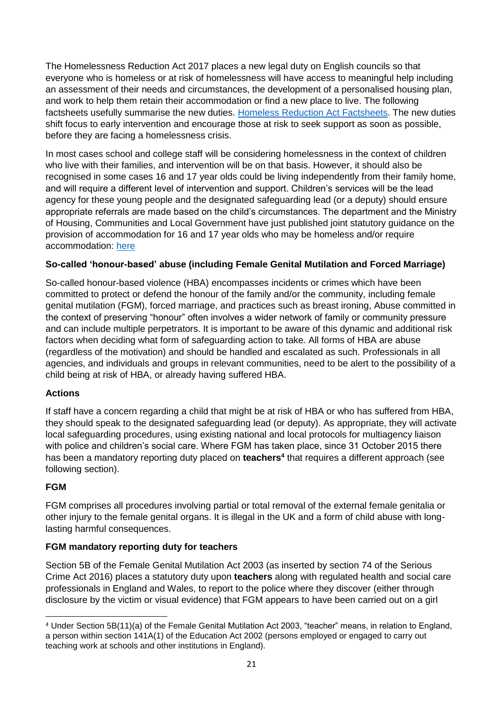The Homelessness Reduction Act 2017 places a new legal duty on English councils so that everyone who is homeless or at risk of homelessness will have access to meaningful help including an assessment of their needs and circumstances, the development of a personalised housing plan, and work to help them retain their accommodation or find a new place to live. The following factsheets usefully summarise the new duties. [Homeless Reduction Act Factsheets.](https://www.gov.uk/government/publications/homelessness-reduction-bill-policy-factsheets) The new duties shift focus to early intervention and encourage those at risk to seek support as soon as possible, before they are facing a homelessness crisis.

In most cases school and college staff will be considering homelessness in the context of children who live with their families, and intervention will be on that basis. However, it should also be recognised in some cases 16 and 17 year olds could be living independently from their family home, and will require a different level of intervention and support. Children's services will be the lead agency for these young people and the designated safeguarding lead (or a deputy) should ensure appropriate referrals are made based on the child's circumstances. The department and the Ministry of Housing, Communities and Local Government have just published joint statutory guidance on the provision of accommodation for 16 and 17 year olds who may be homeless and/or require accommodation: [here](https://www.gov.uk/government/publications/homelessness-reduction-bill-policy-factsheets)

### **So-called 'honour-based' abuse (including Female Genital Mutilation and Forced Marriage)**

So-called honour-based violence (HBA) encompasses incidents or crimes which have been committed to protect or defend the honour of the family and/or the community, including female genital mutilation (FGM), forced marriage, and practices such as breast ironing, Abuse committed in the context of preserving "honour" often involves a wider network of family or community pressure and can include multiple perpetrators. It is important to be aware of this dynamic and additional risk factors when deciding what form of safeguarding action to take. All forms of HBA are abuse (regardless of the motivation) and should be handled and escalated as such. Professionals in all agencies, and individuals and groups in relevant communities, need to be alert to the possibility of a child being at risk of HBA, or already having suffered HBA.

### **Actions**

If staff have a concern regarding a child that might be at risk of HBA or who has suffered from HBA, they should speak to the designated safeguarding lead (or deputy). As appropriate, they will activate local safeguarding procedures, using existing national and local protocols for multiagency liaison with police and children's social care. Where FGM has taken place, since 31 October 2015 there has been a mandatory reporting duty placed on **teachers<sup>4</sup>** that requires a different approach (see following section).

### **FGM**

FGM comprises all procedures involving partial or total removal of the external female genitalia or other injury to the female genital organs. It is illegal in the UK and a form of child abuse with longlasting harmful consequences.

### **FGM mandatory reporting duty for teachers**

Section 5B of the Female Genital Mutilation Act 2003 (as inserted by section 74 of the Serious Crime Act 2016) places a statutory duty upon **teachers** along with regulated health and social care professionals in England and Wales, to report to the police where they discover (either through disclosure by the victim or visual evidence) that FGM appears to have been carried out on a girl

 $\overline{\phantom{a}}$ <sup>4</sup> Under Section 5B(11)(a) of the Female Genital Mutilation Act 2003, "teacher" means, in relation to England, a person within section 141A(1) of the Education Act 2002 (persons employed or engaged to carry out teaching work at schools and other institutions in England).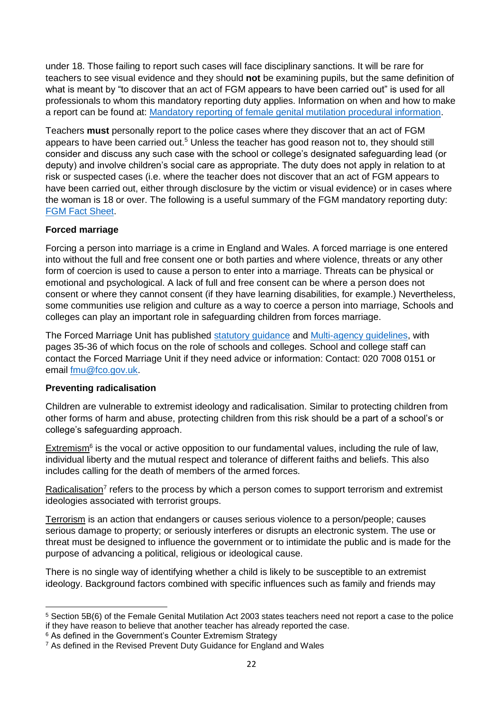under 18. Those failing to report such cases will face disciplinary sanctions. It will be rare for teachers to see visual evidence and they should **not** be examining pupils, but the same definition of what is meant by "to discover that an act of FGM appears to have been carried out" is used for all professionals to whom this mandatory reporting duty applies. Information on when and how to make a report can be found at: [Mandatory reporting of female genital mutilation procedural information.](https://www.gov.uk/government/publications/mandatory-reporting-of-female-genital-mutilation-procedural-information)

Teachers **must** personally report to the police cases where they discover that an act of FGM appears to have been carried out.<sup>5</sup> Unless the teacher has good reason not to, they should still consider and discuss any such case with the school or college's designated safeguarding lead (or deputy) and involve children's social care as appropriate. The duty does not apply in relation to at risk or suspected cases (i.e. where the teacher does not discover that an act of FGM appears to have been carried out, either through disclosure by the victim or visual evidence) or in cases where the woman is 18 or over. The following is a useful summary of the FGM mandatory reporting duty: [FGM Fact Sheet.](https://assets.publishing.service.gov.uk/government/uploads/system/uploads/attachment_data/file/496415/6_1639_HO_SP_FGM_mandatory_reporting_Fact_sheet_Web.pdf)

### **Forced marriage**

Forcing a person into marriage is a crime in England and Wales. A forced marriage is one entered into without the full and free consent one or both parties and where violence, threats or any other form of coercion is used to cause a person to enter into a marriage. Threats can be physical or emotional and psychological. A lack of full and free consent can be where a person does not consent or where they cannot consent (if they have learning disabilities, for example.) Nevertheless, some communities use religion and culture as a way to coerce a person into marriage, Schools and colleges can play an important role in safeguarding children from forces marriage.

The Forced Marriage Unit has published [statutory guidance](https://assets.publishing.service.gov.uk/government/uploads/system/uploads/attachment_data/file/322310/HMG_Statutory_Guidance_publication_180614_Final.pdf) and [Multi-agency guidelines,](https://assets.publishing.service.gov.uk/government/uploads/system/uploads/attachment_data/file/322307/HMG_MULTI_AGENCY_PRACTICE_GUIDELINES_v1_180614_FINAL.pdf) with pages 35-36 of which focus on the role of schools and colleges. School and college staff can contact the Forced Marriage Unit if they need advice or information: Contact: 020 7008 0151 or email [fmu@fco.gov.uk.](mailto:fmu@fco.gov.uk)

### **Preventing radicalisation**

**.** 

Children are vulnerable to extremist ideology and radicalisation. Similar to protecting children from other forms of harm and abuse, protecting children from this risk should be a part of a school's or college's safeguarding approach.

 $Extremism<sup>6</sup>$  is the vocal or active opposition to our fundamental values, including the rule of law, individual liberty and the mutual respect and tolerance of different faiths and beliefs. This also includes calling for the death of members of the armed forces.

Radicalisation<sup>7</sup> refers to the process by which a person comes to support terrorism and extremist ideologies associated with terrorist groups.

Terrorism is an action that endangers or causes serious violence to a person/people; causes serious damage to property; or seriously interferes or disrupts an electronic system. The use or threat must be designed to influence the government or to intimidate the public and is made for the purpose of advancing a political, religious or ideological cause.

There is no single way of identifying whether a child is likely to be susceptible to an extremist ideology. Background factors combined with specific influences such as family and friends may

<sup>5</sup> Section 5B(6) of the Female Genital Mutilation Act 2003 states teachers need not report a case to the police if they have reason to believe that another teacher has already reported the case.

<sup>&</sup>lt;sup>6</sup> As defined in the Government's Counter Extremism Strategy

<sup>&</sup>lt;sup>7</sup> As defined in the Revised Prevent Duty Guidance for England and Wales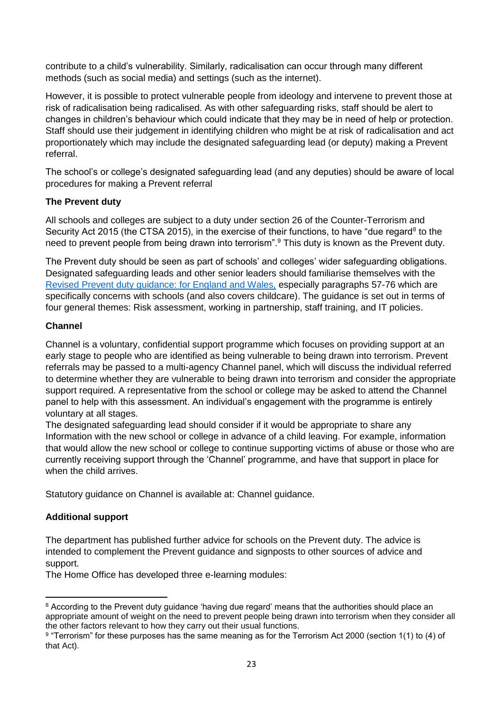contribute to a child's vulnerability. Similarly, radicalisation can occur through many different methods (such as social media) and settings (such as the internet).

However, it is possible to protect vulnerable people from ideology and intervene to prevent those at risk of radicalisation being radicalised. As with other safeguarding risks, staff should be alert to changes in children's behaviour which could indicate that they may be in need of help or protection. Staff should use their judgement in identifying children who might be at risk of radicalisation and act proportionately which may include the designated safeguarding lead (or deputy) making a Prevent referral.

The school's or college's designated safeguarding lead (and any deputies) should be aware of local procedures for making a Prevent referral

### **The Prevent duty**

All schools and colleges are subject to a duty under section 26 of the Counter-Terrorism and Security Act 2015 (the CTSA 2015), in the exercise of their functions, to have "due regard<sup>8</sup> to the need to prevent people from being drawn into terrorism".<sup>9</sup> This duty is known as the Prevent duty.

The Prevent duty should be seen as part of schools' and colleges' wider safeguarding obligations. Designated safeguarding leads and other senior leaders should familiarise themselves with the [Revised Prevent duty guidance: for England and Wales,](https://www.gov.uk/government/publications/prevent-duty-guidance) especially paragraphs 57-76 which are specifically concerns with schools (and also covers childcare). The guidance is set out in terms of four general themes: Risk assessment, working in partnership, staff training, and IT policies.

### **Channel**

Channel is a voluntary, confidential support programme which focuses on providing support at an early stage to people who are identified as being vulnerable to being drawn into terrorism. Prevent referrals may be passed to a multi-agency Channel panel, which will discuss the individual referred to determine whether they are vulnerable to being drawn into terrorism and consider the appropriate support required. A representative from the school or college may be asked to attend the Channel panel to help with this assessment. An individual's engagement with the programme is entirely voluntary at all stages.

The designated safeguarding lead should consider if it would be appropriate to share any Information with the new school or college in advance of a child leaving. For example, information that would allow the new school or college to continue supporting victims of abuse or those who are currently receiving support through the 'Channel' programme, and have that support in place for when the child arrives.

Statutory guidance on Channel is available at: Channel guidance.

## **Additional support**

The department has published further advice for schools on the Prevent duty. The advice is intended to complement the Prevent guidance and signposts to other sources of advice and support.

The Home Office has developed three e-learning modules:

<sup>1</sup> <sup>8</sup> According to the Prevent duty guidance 'having due regard' means that the authorities should place an appropriate amount of weight on the need to prevent people being drawn into terrorism when they consider all the other factors relevant to how they carry out their usual functions.

<sup>&</sup>lt;sup>9</sup> "Terrorism" for these purposes has the same meaning as for the Terrorism Act 2000 (section 1(1) to (4) of that Act).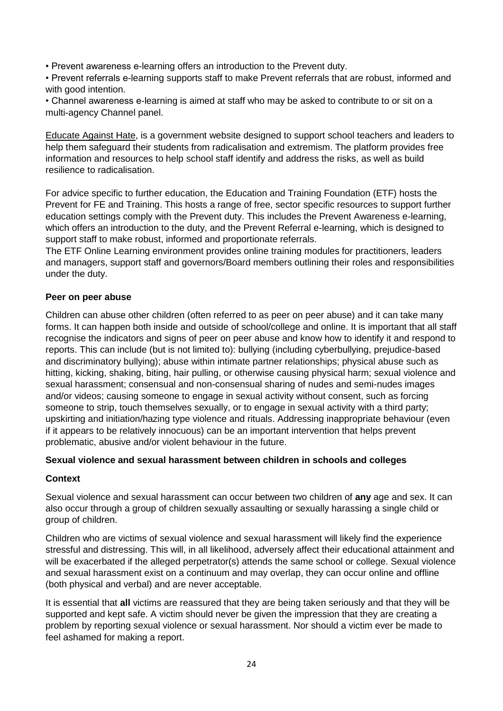• Prevent awareness e-learning offers an introduction to the Prevent duty.

• Prevent referrals e-learning supports staff to make Prevent referrals that are robust, informed and with good intention.

• Channel awareness e-learning is aimed at staff who may be asked to contribute to or sit on a multi-agency Channel panel.

Educate Against Hate, is a government website designed to support school teachers and leaders to help them safeguard their students from radicalisation and extremism. The platform provides free information and resources to help school staff identify and address the risks, as well as build resilience to radicalisation.

For advice specific to further education, the Education and Training Foundation (ETF) hosts the Prevent for FE and Training. This hosts a range of free, sector specific resources to support further education settings comply with the Prevent duty. This includes the Prevent Awareness e-learning, which offers an introduction to the duty, and the Prevent Referral e-learning, which is designed to support staff to make robust, informed and proportionate referrals.

The ETF Online Learning environment provides online training modules for practitioners, leaders and managers, support staff and governors/Board members outlining their roles and responsibilities under the duty.

### **Peer on peer abuse**

Children can abuse other children (often referred to as peer on peer abuse) and it can take many forms. It can happen both inside and outside of school/college and online. It is important that all staff recognise the indicators and signs of peer on peer abuse and know how to identify it and respond to reports. This can include (but is not limited to): bullying (including cyberbullying, prejudice-based and discriminatory bullying); abuse within intimate partner relationships; physical abuse such as hitting, kicking, shaking, biting, hair pulling, or otherwise causing physical harm; sexual violence and sexual harassment; consensual and non-consensual sharing of nudes and semi-nudes images and/or videos; causing someone to engage in sexual activity without consent, such as forcing someone to strip, touch themselves sexually, or to engage in sexual activity with a third party; upskirting and initiation/hazing type violence and rituals. Addressing inappropriate behaviour (even if it appears to be relatively innocuous) can be an important intervention that helps prevent problematic, abusive and/or violent behaviour in the future.

#### **Sexual violence and sexual harassment between children in schools and colleges**

### **Context**

Sexual violence and sexual harassment can occur between two children of **any** age and sex. It can also occur through a group of children sexually assaulting or sexually harassing a single child or group of children.

Children who are victims of sexual violence and sexual harassment will likely find the experience stressful and distressing. This will, in all likelihood, adversely affect their educational attainment and will be exacerbated if the alleged perpetrator(s) attends the same school or college. Sexual violence and sexual harassment exist on a continuum and may overlap, they can occur online and offline (both physical and verbal) and are never acceptable.

It is essential that **all** victims are reassured that they are being taken seriously and that they will be supported and kept safe. A victim should never be given the impression that they are creating a problem by reporting sexual violence or sexual harassment. Nor should a victim ever be made to feel ashamed for making a report.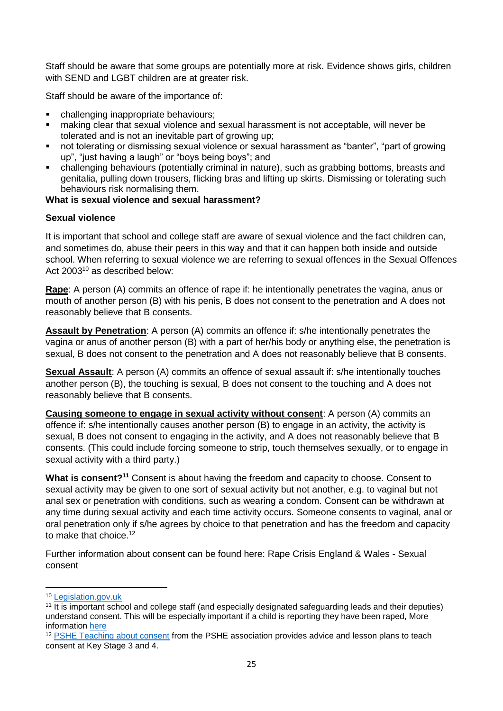Staff should be aware that some groups are potentially more at risk. Evidence shows girls, children with SEND and LGBT children are at greater risk.

Staff should be aware of the importance of:

- challenging inappropriate behaviours;
- making clear that sexual violence and sexual harassment is not acceptable, will never be tolerated and is not an inevitable part of growing up;
- not tolerating or dismissing sexual violence or sexual harassment as "banter", "part of growing up", "just having a laugh" or "boys being boys"; and
- challenging behaviours (potentially criminal in nature), such as grabbing bottoms, breasts and genitalia, pulling down trousers, flicking bras and lifting up skirts. Dismissing or tolerating such behaviours risk normalising them.

### **What is sexual violence and sexual harassment?**

#### **Sexual violence**

It is important that school and college staff are aware of sexual violence and the fact children can, and sometimes do, abuse their peers in this way and that it can happen both inside and outside school. When referring to sexual violence we are referring to sexual offences in the Sexual Offences Act 2003<sup>10</sup> as described below:

**Rape**: A person (A) commits an offence of rape if: he intentionally penetrates the vagina, anus or mouth of another person (B) with his penis, B does not consent to the penetration and A does not reasonably believe that B consents.

**Assault by Penetration**: A person (A) commits an offence if: s/he intentionally penetrates the vagina or anus of another person (B) with a part of her/his body or anything else, the penetration is sexual, B does not consent to the penetration and A does not reasonably believe that B consents.

**Sexual Assault**: A person (A) commits an offence of sexual assault if: s/he intentionally touches another person (B), the touching is sexual, B does not consent to the touching and A does not reasonably believe that B consents.

**Causing someone to engage in sexual activity without consent**: A person (A) commits an offence if: s/he intentionally causes another person (B) to engage in an activity, the activity is sexual, B does not consent to engaging in the activity, and A does not reasonably believe that B consents. (This could include forcing someone to strip, touch themselves sexually, or to engage in sexual activity with a third party.)

**What is consent?<sup>11</sup>** Consent is about having the freedom and capacity to choose. Consent to sexual activity may be given to one sort of sexual activity but not another, e.g. to vaginal but not anal sex or penetration with conditions, such as wearing a condom. Consent can be withdrawn at any time during sexual activity and each time activity occurs. Someone consents to vaginal, anal or oral penetration only if s/he agrees by choice to that penetration and has the freedom and capacity to make that choice.<sup>12</sup>

Further information about consent can be found here: Rape Crisis England & Wales - Sexual consent

**.** 

<sup>10</sup> [Legislation.gov.uk](https://www.legislation.gov.uk/ukpga/2003/42/contents)

<sup>11</sup> It is important school and college staff (and especially designated safeguarding leads and their deputies) understand consent. This will be especially important if a child is reporting they have been raped, More information [here](https://www.disrespectnobody.co.uk/consent/what-is-consent/)

<sup>&</sup>lt;sup>12</sup> [PSHE Teaching about consent](https://www.pshe-association.org.uk/curriculum-and-resources/resources/guidance-teaching-about-consent-pshe-education-key) from the PSHE association provides advice and lesson plans to teach consent at Key Stage 3 and 4.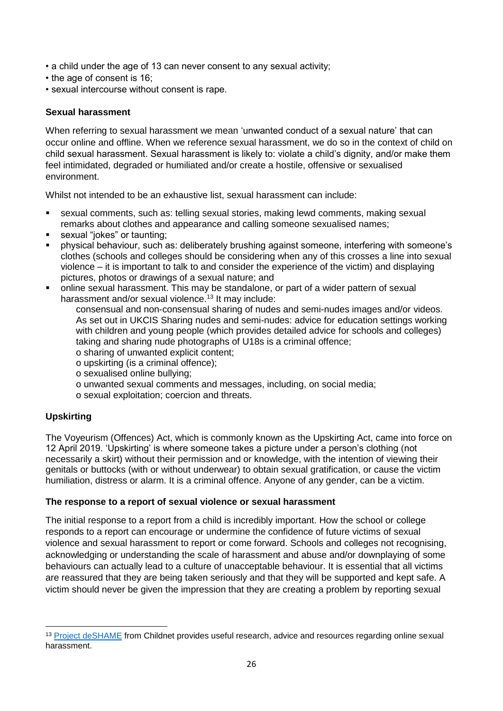- a child under the age of 13 can never consent to any sexual activity;
- the age of consent is 16;
- sexual intercourse without consent is rape.

#### **Sexual harassment**

When referring to sexual harassment we mean 'unwanted conduct of a sexual nature' that can occur online and offline. When we reference sexual harassment, we do so in the context of child on child sexual harassment. Sexual harassment is likely to: violate a child's dignity, and/or make them feel intimidated, degraded or humiliated and/or create a hostile, offensive or sexualised environment.

Whilst not intended to be an exhaustive list, sexual harassment can include:

- sexual comments, such as: telling sexual stories, making lewd comments, making sexual remarks about clothes and appearance and calling someone sexualised names;
- sexual "jokes" or taunting;
- physical behaviour, such as: deliberately brushing against someone, interfering with someone's clothes (schools and colleges should be considering when any of this crosses a line into sexual violence – it is important to talk to and consider the experience of the victim) and displaying pictures, photos or drawings of a sexual nature; and
- online sexual harassment. This may be standalone, or part of a wider pattern of sexual harassment and/or sexual violence.<sup>13</sup> It may include:

consensual and non-consensual sharing of nudes and semi-nudes images and/or videos. As set out in UKCIS Sharing nudes and semi-nudes: advice for education settings working with children and young people (which provides detailed advice for schools and colleges) taking and sharing nude photographs of U18s is a criminal offence;

- o sharing of unwanted explicit content;
- o upskirting (is a criminal offence);
- o sexualised online bullying;
- o unwanted sexual comments and messages, including, on social media;
- o sexual exploitation; coercion and threats.

### **Upskirting**

1

The Voyeurism (Offences) Act, which is commonly known as the Upskirting Act, came into force on 12 April 2019. 'Upskirting' is where someone takes a picture under a person's clothing (not necessarily a skirt) without their permission and or knowledge, with the intention of viewing their genitals or buttocks (with or without underwear) to obtain sexual gratification, or cause the victim humiliation, distress or alarm. It is a criminal offence. Anyone of any gender, can be a victim.

#### **The response to a report of sexual violence or sexual harassment**

The initial response to a report from a child is incredibly important. How the school or college responds to a report can encourage or undermine the confidence of future victims of sexual violence and sexual harassment to report or come forward. Schools and colleges not recognising, acknowledging or understanding the scale of harassment and abuse and/or downplaying of some behaviours can actually lead to a culture of unacceptable behaviour. It is essential that all victims are reassured that they are being taken seriously and that they will be supported and kept safe. A victim should never be given the impression that they are creating a problem by reporting sexual

<sup>&</sup>lt;sup>13</sup> [Project deSHAME](https://www.childnet.com/our-projects/project-deshame) from Childnet provides useful research, advice and resources regarding online sexual harassment.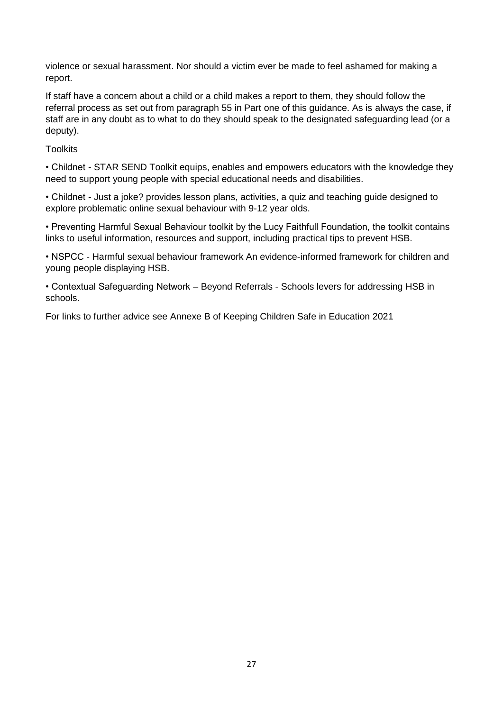violence or sexual harassment. Nor should a victim ever be made to feel ashamed for making a report.

If staff have a concern about a child or a child makes a report to them, they should follow the referral process as set out from paragraph 55 in Part one of this guidance. As is always the case, if staff are in any doubt as to what to do they should speak to the designated safeguarding lead (or a deputy).

**Toolkits** 

• Childnet - STAR SEND Toolkit equips, enables and empowers educators with the knowledge they need to support young people with special educational needs and disabilities.

• Childnet - Just a joke? provides lesson plans, activities, a quiz and teaching guide designed to explore problematic online sexual behaviour with 9-12 year olds.

• Preventing Harmful Sexual Behaviour toolkit by the Lucy Faithfull Foundation, the toolkit contains links to useful information, resources and support, including practical tips to prevent HSB.

• NSPCC - Harmful sexual behaviour framework An evidence-informed framework for children and young people displaying HSB.

• Contextual Safeguarding Network – Beyond Referrals - Schools levers for addressing HSB in schools.

For links to further advice see Annexe B of Keeping Children Safe in Education 2021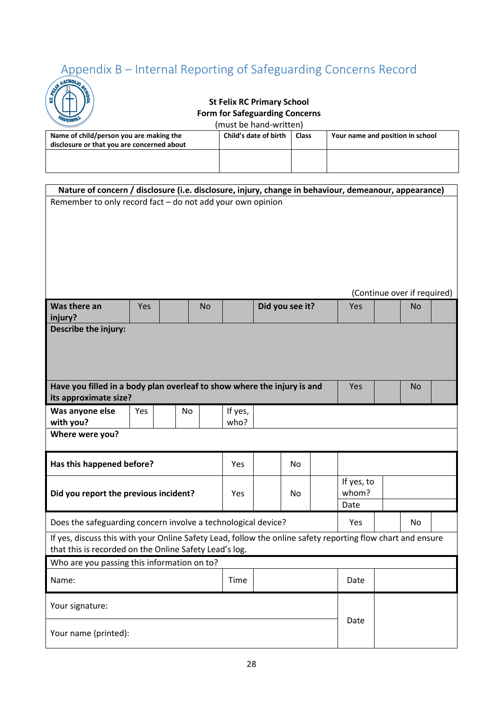# Appendix B – Internal Reporting of Safeguarding Concerns Record



#### **St Felix RC Primary School Form for Safeguarding Concerns** (must be hand-written)

| Name of child/person you are making the    | Child's date of birth | <b>Class</b> | Your name and position in school |  |  |  |  |
|--------------------------------------------|-----------------------|--------------|----------------------------------|--|--|--|--|
| disclosure or that you are concerned about |                       |              |                                  |  |  |  |  |
|                                            |                       |              |                                  |  |  |  |  |
|                                            |                       |              |                                  |  |  |  |  |
|                                            |                       |              |                                  |  |  |  |  |

| Nature of concern / disclosure (i.e. disclosure, injury, change in behaviour, demeanour, appearance)        |     |       |      |         |    |                 |            |     |  |                             |  |
|-------------------------------------------------------------------------------------------------------------|-----|-------|------|---------|----|-----------------|------------|-----|--|-----------------------------|--|
| Remember to only record fact - do not add your own opinion                                                  |     |       |      |         |    |                 |            |     |  |                             |  |
|                                                                                                             |     |       |      |         |    |                 |            |     |  |                             |  |
|                                                                                                             |     |       |      |         |    |                 |            |     |  |                             |  |
|                                                                                                             |     |       |      |         |    |                 |            |     |  |                             |  |
|                                                                                                             |     |       |      |         |    |                 |            |     |  |                             |  |
|                                                                                                             |     |       |      |         |    |                 |            |     |  |                             |  |
|                                                                                                             |     |       |      |         |    |                 |            |     |  | (Continue over if required) |  |
| Was there an                                                                                                | Yes |       | No   |         |    | Did you see it? |            | Yes |  | <b>No</b>                   |  |
| injury?                                                                                                     |     |       |      |         |    |                 |            |     |  |                             |  |
| Describe the injury:                                                                                        |     |       |      |         |    |                 |            |     |  |                             |  |
|                                                                                                             |     |       |      |         |    |                 |            |     |  |                             |  |
|                                                                                                             |     |       |      |         |    |                 |            |     |  |                             |  |
|                                                                                                             |     |       |      |         |    |                 |            |     |  |                             |  |
| Have you filled in a body plan overleaf to show where the injury is and<br>Yes<br><b>No</b>                 |     |       |      |         |    |                 |            |     |  |                             |  |
| its approximate size?                                                                                       |     |       |      |         |    |                 |            |     |  |                             |  |
| Was anyone else                                                                                             | Yes |       | No   | If yes, |    |                 |            |     |  |                             |  |
| with you?<br>Where were you?                                                                                |     |       |      | who?    |    |                 |            |     |  |                             |  |
|                                                                                                             |     |       |      |         |    |                 |            |     |  |                             |  |
| <b>Yes</b>                                                                                                  |     |       |      |         |    |                 |            |     |  |                             |  |
| Has this happened before?                                                                                   |     |       |      |         |    | No              |            |     |  |                             |  |
|                                                                                                             |     |       | Yes  |         | No |                 | If yes, to |     |  |                             |  |
| Did you report the previous incident?                                                                       |     | whom? |      |         |    |                 |            |     |  |                             |  |
| Date                                                                                                        |     |       |      |         |    |                 |            |     |  |                             |  |
| Does the safeguarding concern involve a technological device?                                               |     |       |      |         |    | Yes             |            | No  |  |                             |  |
| If yes, discuss this with your Online Safety Lead, follow the online safety reporting flow chart and ensure |     |       |      |         |    |                 |            |     |  |                             |  |
| that this is recorded on the Online Safety Lead's log.                                                      |     |       |      |         |    |                 |            |     |  |                             |  |
| Who are you passing this information on to?                                                                 |     |       |      |         |    |                 |            |     |  |                             |  |
| Name:                                                                                                       |     |       | Time |         |    | Date            |            |     |  |                             |  |
| Your signature:                                                                                             |     |       |      |         |    |                 |            |     |  |                             |  |
|                                                                                                             |     |       |      |         |    |                 |            |     |  |                             |  |
| Date<br>Your name (printed):                                                                                |     |       |      |         |    |                 |            |     |  |                             |  |
|                                                                                                             |     |       |      |         |    |                 |            |     |  |                             |  |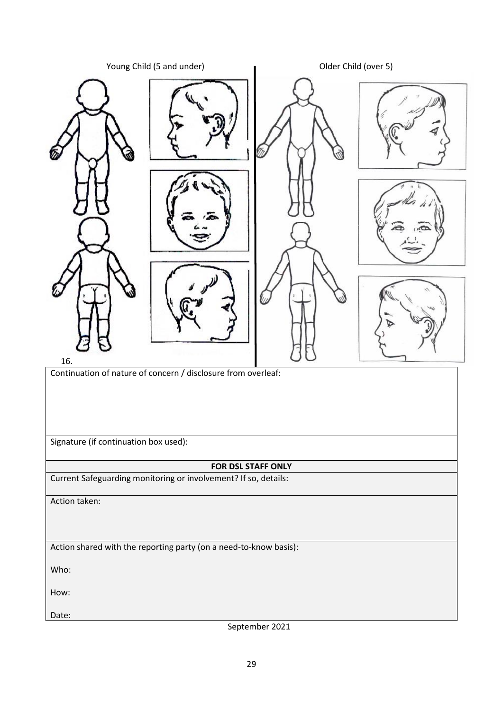| Young Child (5 and under)                                         | Older Child (over 5) |  |  |  |  |  |
|-------------------------------------------------------------------|----------------------|--|--|--|--|--|
|                                                                   |                      |  |  |  |  |  |
|                                                                   | é                    |  |  |  |  |  |
| 16.                                                               |                      |  |  |  |  |  |
| Continuation of nature of concern / disclosure from overleaf:     |                      |  |  |  |  |  |
| Signature (if continuation box used):                             |                      |  |  |  |  |  |
| FOR DSL STAFF ONLY                                                |                      |  |  |  |  |  |
| Current Safeguarding monitoring or involvement? If so, details:   |                      |  |  |  |  |  |
| Action taken:                                                     |                      |  |  |  |  |  |
| Action shared with the reporting party (on a need-to-know basis): |                      |  |  |  |  |  |
| Who:                                                              |                      |  |  |  |  |  |
| How:                                                              |                      |  |  |  |  |  |
| Date:                                                             |                      |  |  |  |  |  |
|                                                                   | September 2021       |  |  |  |  |  |